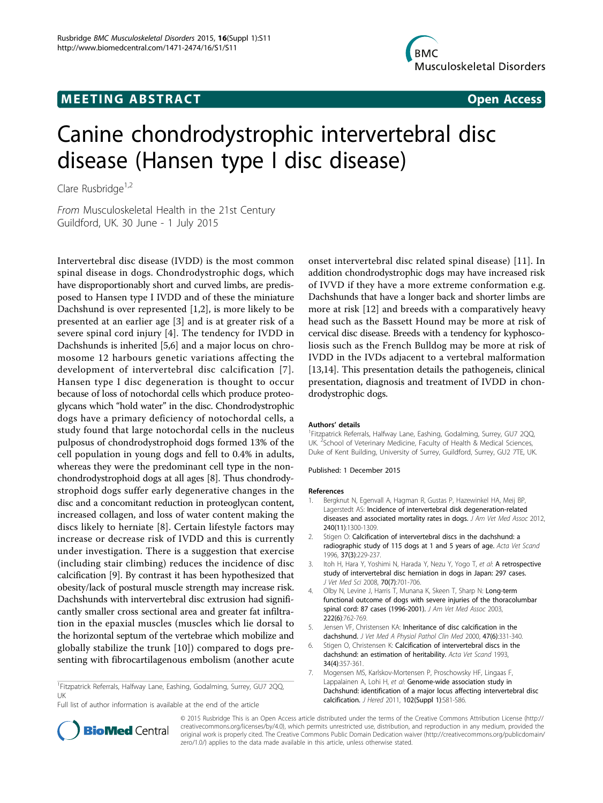## **MEETING ABSTRACT ACCESS**



# Canine chondrodystrophic intervertebral disc disease (Hansen type I disc disease)

Clare Rusbridge $1,2$ 

From Musculoskeletal Health in the 21st Century Guildford, UK. 30 June - 1 July 2015

Intervertebral disc disease (IVDD) is the most common spinal disease in dogs. Chondrodystrophic dogs, which have disproportionably short and curved limbs, are predisposed to Hansen type I IVDD and of these the miniature Dachshund is over represented [[1,2\]](#page--1-0), is more likely to be presented at an earlier age [[3](#page--1-0)] and is at greater risk of a severe spinal cord injury [[4\]](#page--1-0). The tendency for IVDD in Dachshunds is inherited [\[5,6](#page--1-0)] and a major locus on chromosome 12 harbours genetic variations affecting the development of intervertebral disc calcification [[7\]](#page--1-0). Hansen type I disc degeneration is thought to occur because of loss of notochordal cells which produce proteoglycans which "hold water" in the disc. Chondrodystrophic dogs have a primary deficiency of notochordal cells, a study found that large notochordal cells in the nucleus pulposus of chondrodystrophoid dogs formed 13% of the cell population in young dogs and fell to 0.4% in adults, whereas they were the predominant cell type in the nonchondrodystrophoid dogs at all ages [[8](#page--1-0)]. Thus chondrodystrophoid dogs suffer early degenerative changes in the disc and a concomitant reduction in proteoglycan content, increased collagen, and loss of water content making the discs likely to herniate [\[8](#page--1-0)]. Certain lifestyle factors may increase or decrease risk of IVDD and this is currently under investigation. There is a suggestion that exercise (including stair climbing) reduces the incidence of disc calcification [[9\]](#page--1-0). By contrast it has been hypothesized that obesity/lack of postural muscle strength may increase risk. Dachshunds with intervertebral disc extrusion had significantly smaller cross sectional area and greater fat infiltration in the epaxial muscles (muscles which lie dorsal to the horizontal septum of the vertebrae which mobilize and globally stabilize the trunk [[10](#page--1-0)]) compared to dogs presenting with fibrocartilagenous embolism (another acute

<sup>1</sup>Fitzpatrick Referrals, Halfway Lane, Eashing, Godalming, Surrey, GU7 2QQ, UK Full list of author information is available at the end of the article

onset intervertebral disc related spinal disease) [[11\]](#page--1-0). In addition chondrodystrophic dogs may have increased risk of IVVD if they have a more extreme conformation e.g. Dachshunds that have a longer back and shorter limbs are more at risk [\[12](#page--1-0)] and breeds with a comparatively heavy head such as the Bassett Hound may be more at risk of cervical disc disease. Breeds with a tendency for kyphoscoliosis such as the French Bulldog may be more at risk of IVDD in the IVDs adjacent to a vertebral malformation [[13,14\]](#page--1-0). This presentation details the pathogeneis, clinical presentation, diagnosis and treatment of IVDD in chondrodystrophic dogs.

#### Authors' details <sup>1</sup>

<sup>1</sup>Fitzpatrick Referrals, Halfway Lane, Eashing, Godalming, Surrey, GU7 2QQ, UK.<sup>2</sup>School of Veterinary Medicine, Faculty of Health & Medical Sciences Duke of Kent Building, University of Surrey, Guildford, Surrey, GU2 7TE, UK.

#### Published: 1 December 2015

#### References

- 1. Bergknut N, Egenvall A, Hagman R, Gustas P, Hazewinkel HA, Meij BP, Lagerstedt AS: Incidence of intervertebral disk degeneration-related diseases and associated mortality rates in dogs. J Am Vet Med Assoc 2012, 240(11):1300-1309.
- 2. Stigen O: Calcification of intervertebral discs in the dachshund: a radiographic study of 115 dogs at 1 and 5 years of age. Acta Vet Scand 1996, 37(3):229-237.
- 3. Itoh H, Hara Y, Yoshimi N, Harada Y, Nezu Y, Yogo T, et al: A retrospective study of intervertebral disc herniation in dogs in Japan: 297 cases. J Vet Med Sci 2008, 70(7):701-706.
- 4. Olby N, Levine J, Harris T, Munana K, Skeen T, Sharp N: Long-term functional outcome of dogs with severe injuries of the thoracolumbar spinal cord: 87 cases (1996-2001). J Am Vet Med Assoc 2003, 222(6):762-769.
- 5. Jensen VF, Christensen KA: Inheritance of disc calcification in the dachshund. J Vet Med A Physiol Pathol Clin Med 2000, 47(6):331-340.
- 6. Stigen O, Christensen K: Calcification of intervertebral discs in the dachshund: an estimation of heritability. Acta Vet Scand 1993, 34(4):357-361.
- 7. Mogensen MS, Karlskov-Mortensen P, Proschowsky HF, Lingaas F, Lappalainen A, Lohi H, et al: Genome-wide association study in Dachshund: identification of a major locus affecting intervertebral disc calcification. J Hered 2011, 102(Suppl 1):S81-S86.



© 2015 Rusbridge This is an Open Access article distributed under the terms of the Creative Commons Attribution License ([http://](http://creativecommons.org/licenses/by/4.0) [creativecommons.org/licenses/by/4.0](http://creativecommons.org/licenses/by/4.0)), which permits unrestricted use, distribution, and reproduction in any medium, provided the original work is properly cited. The Creative Commons Public Domain Dedication waiver ([http://creativecommons.org/publicdomain/](http://creativecommons.org/publicdomain/zero/1.0/) [zero/1.0/](http://creativecommons.org/publicdomain/zero/1.0/)) applies to the data made available in this article, unless otherwise stated.